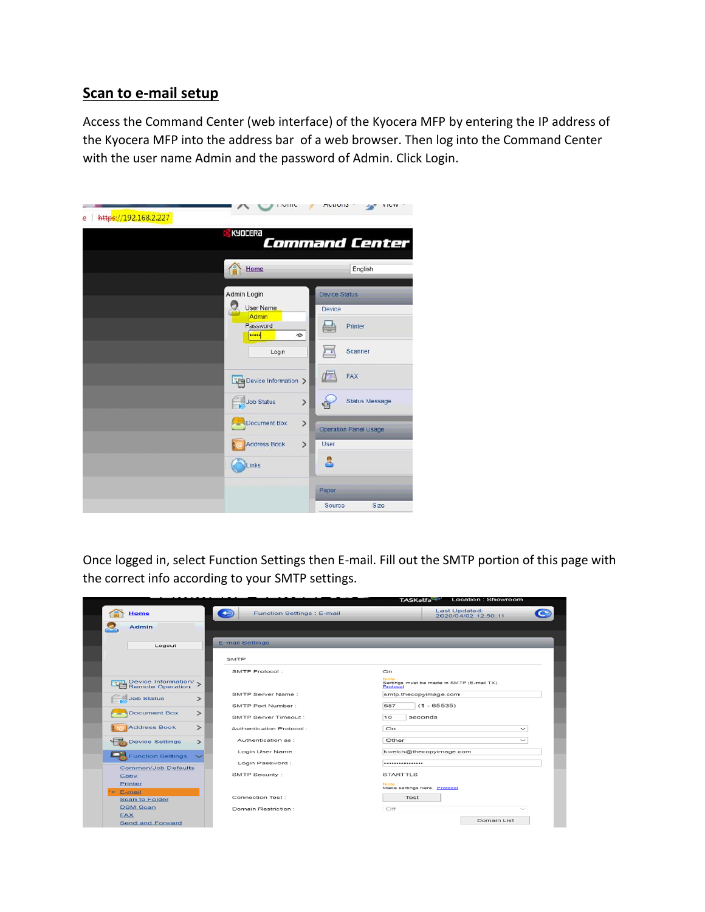## **Scan to e-mail setup**

Access the Command Center (web interface) of the Kyocera MFP by entering the IP address of the Kyocera MFP into the address bar of a web browser. Then log into the Command Center with the user name Admin and the password of Admin. Click Login.

| https://192.168.2.227<br>ē | IVIIIU                                                                                                    | nuuus<br>$1 - YY$                                                                             |
|----------------------------|-----------------------------------------------------------------------------------------------------------|-----------------------------------------------------------------------------------------------|
|                            | KYOCERA                                                                                                   | <b>Command Center</b>                                                                         |
|                            | $\hat{\mathbb{P}}$<br>Home                                                                                | English                                                                                       |
|                            | Admin Login<br><b>User Name</b><br>Admin<br>Password<br><br>${}^{\circ}$<br>Login<br>Device Information > | <b>Device Status</b><br>Device<br>Printer<br>Scanner<br>FAX                                   |
|                            | Job Status<br>$\mathcal{P}$<br>$\rightarrow$<br>Document Box<br>Address Book<br>$\rightarrow$<br>Links    | <b>Status Message</b><br><b>Operation Panel Usage</b><br>User<br>8<br>Paper<br>Source<br>Size |

Once logged in, select Function Settings then E-mail. Fill out the SMTP portion of this page with the correct info according to your SMTP settings.

|            |                                             |        |                                   | TASKalfa <sup>-1</sup><br>LUCATION . SHOWIOOHI                  |
|------------|---------------------------------------------|--------|-----------------------------------|-----------------------------------------------------------------|
|            | Home                                        | $\div$ | <b>Function Settings : E-mail</b> | Last Updated:<br>2020/04/02 12:50:11                            |
|            | Admin                                       |        |                                   |                                                                 |
|            |                                             |        |                                   |                                                                 |
|            | Logout                                      |        | <b>E-mail Settings</b>            |                                                                 |
|            |                                             |        |                                   |                                                                 |
|            |                                             |        | <b>SMTP</b>                       |                                                                 |
|            |                                             |        | SMTP Protocol:                    | On                                                              |
|            | Device Information/ ><br>Remote Operation > |        |                                   | Note:<br>Settings must be made in SMTP (E-mail TX).<br>Protocol |
|            | <b>Job Status</b>                           | ⋗      | SMTP Server Name:                 | smtp.thecopyimage.com                                           |
|            |                                             |        | SMTP Port Number:                 | $(1 - 65535)$<br>587                                            |
|            | <b>Document Box</b>                         | ⋗      | SMTP Server Timeout :             | seconds<br>10                                                   |
|            | <b>Address Book</b>                         | ⋗      | Authentication Protocol:          | On<br>$\check{ }$                                               |
|            | <b>Device Settings</b>                      | $\geq$ | Authentication as :               | Other<br>$\checkmark$                                           |
|            | <b>Function Settings</b>                    |        | Login User Name:                  | kwelch@thecopyimage.com                                         |
|            | <b>Common/Job Defaults</b>                  |        | Login Password:                   |                                                                 |
|            | <b>Copy</b>                                 |        | SMTP Security:                    | <b>STARTTLS</b>                                                 |
|            | Printer                                     |        |                                   | Note:                                                           |
| Le- E-mail |                                             |        |                                   | Make settings here. Protocol                                    |
|            | <b>Scan to Folder</b>                       |        | Connection Test:                  | Test                                                            |
|            | <b>DSM Scan</b>                             |        | Domain Restriction:               | Off<br>$\sim$                                                   |
|            | <b>FAX</b>                                  |        |                                   |                                                                 |
|            | <b>Send and Forward</b>                     |        |                                   | Domain List                                                     |